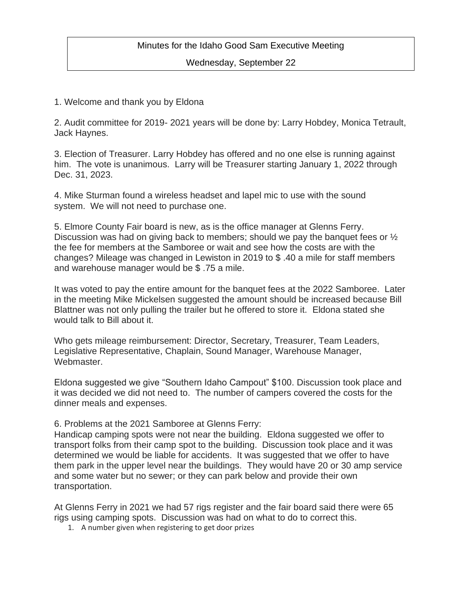## Minutes for the Idaho Good Sam Executive Meeting

Wednesday, September 22

1. Welcome and thank you by Eldona

2. Audit committee for 2019- 2021 years will be done by: Larry Hobdey, Monica Tetrault, Jack Haynes.

3. Election of Treasurer. Larry Hobdey has offered and no one else is running against him. The vote is unanimous. Larry will be Treasurer starting January 1, 2022 through Dec. 31, 2023.

4. Mike Sturman found a wireless headset and lapel mic to use with the sound system. We will not need to purchase one.

5. Elmore County Fair board is new, as is the office manager at Glenns Ferry. Discussion was had on giving back to members; should we pay the banquet fees or  $\frac{1}{2}$ the fee for members at the Samboree or wait and see how the costs are with the changes? Mileage was changed in Lewiston in 2019 to \$ .40 a mile for staff members and warehouse manager would be \$ .75 a mile.

It was voted to pay the entire amount for the banquet fees at the 2022 Samboree. Later in the meeting Mike Mickelsen suggested the amount should be increased because Bill Blattner was not only pulling the trailer but he offered to store it. Eldona stated she would talk to Bill about it.

Who gets mileage reimbursement: Director, Secretary, Treasurer, Team Leaders, Legislative Representative, Chaplain, Sound Manager, Warehouse Manager, Webmaster.

Eldona suggested we give "Southern Idaho Campout" \$100. Discussion took place and it was decided we did not need to. The number of campers covered the costs for the dinner meals and expenses.

6. Problems at the 2021 Samboree at Glenns Ferry:

Handicap camping spots were not near the building. Eldona suggested we offer to transport folks from their camp spot to the building. Discussion took place and it was determined we would be liable for accidents. It was suggested that we offer to have them park in the upper level near the buildings. They would have 20 or 30 amp service and some water but no sewer; or they can park below and provide their own transportation.

At Glenns Ferry in 2021 we had 57 rigs register and the fair board said there were 65 rigs using camping spots. Discussion was had on what to do to correct this.

1. A number given when registering to get door prizes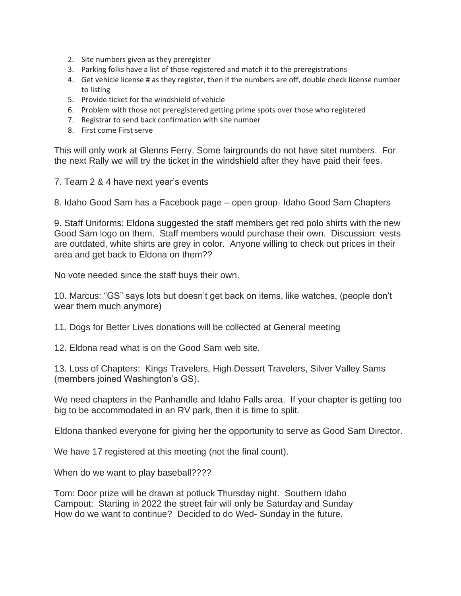- 2. Site numbers given as they preregister
- 3. Parking folks have a list of those registered and match it to the preregistrations
- 4. Get vehicle license # as they register, then if the numbers are off, double check license number to listing
- 5. Provide ticket for the windshield of vehicle
- 6. Problem with those not preregistered getting prime spots over those who registered
- 7. Registrar to send back confirmation with site number
- 8. First come First serve

This will only work at Glenns Ferry. Some fairgrounds do not have sitet numbers. For the next Rally we will try the ticket in the windshield after they have paid their fees.

7. Team 2 & 4 have next year's events

8. Idaho Good Sam has a Facebook page – open group- Idaho Good Sam Chapters

9. Staff Uniforms; Eldona suggested the staff members get red polo shirts with the new Good Sam logo on them. Staff members would purchase their own. Discussion: vests are outdated, white shirts are grey in color. Anyone willing to check out prices in their area and get back to Eldona on them??

No vote needed since the staff buys their own.

10. Marcus: "GS" says lots but doesn't get back on items, like watches, (people don't wear them much anymore)

11. Dogs for Better Lives donations will be collected at General meeting

12. Eldona read what is on the Good Sam web site.

13. Loss of Chapters: Kings Travelers, High Dessert Travelers, Silver Valley Sams (members joined Washington's GS).

We need chapters in the Panhandle and Idaho Falls area. If your chapter is getting too big to be accommodated in an RV park, then it is time to split.

Eldona thanked everyone for giving her the opportunity to serve as Good Sam Director.

We have 17 registered at this meeting (not the final count).

When do we want to play baseball????

Tom: Door prize will be drawn at potluck Thursday night. Southern Idaho Campout: Starting in 2022 the street fair will only be Saturday and Sunday How do we want to continue? Decided to do Wed- Sunday in the future.